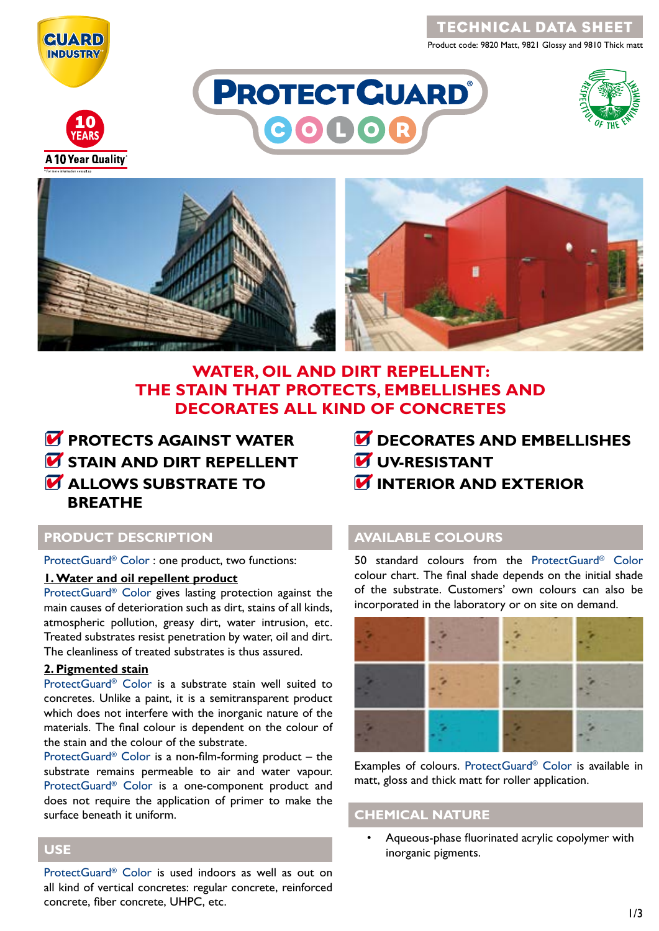

Product code: 9820 Matt, 9821 Glossy and 9810 Thick matt



**A 10 Year Quality** 







# **WATER, OIL AND DIRT REPELLENT: THE STAIN THAT PROTECTS, EMBELLISHES AND DECORATES ALL KIND OF CONCRETES**



- *<b>M* DECORATES AND EMBELLISHES
- *<u>UV-RESISTANT</u>*
- *M* INTERIOR AND EXTERIOR

## **PRODUCT DESCRIPTION**

ProtectGuard® Color : one product, two functions:

### **1. Water and oil repellent product**

ProtectGuard® Color gives lasting protection against the main causes of deterioration such as dirt, stains of all kinds, atmospheric pollution, greasy dirt, water intrusion, etc. Treated substrates resist penetration by water, oil and dirt. The cleanliness of treated substrates is thus assured.

#### **2. Pigmented stain**

ProtectGuard® Color is a substrate stain well suited to concretes. Unlike a paint, it is a semitransparent product which does not interfere with the inorganic nature of the materials. The final colour is dependent on the colour of the stain and the colour of the substrate.

ProtectGuard<sup>®</sup> Color is a non-film-forming product  $-$  the substrate remains permeable to air and water vapour. ProtectGuard® Color is a one-component product and does not require the application of primer to make the surface beneath it uniform.

## **AVAILABLE COLOURS**

50 standard colours from the ProtectGuard® Color colour chart. The final shade depends on the initial shade of the substrate. Customers' own colours can also be incorporated in the laboratory or on site on demand.



Examples of colours. ProtectGuard® Color is available in matt, gloss and thick matt for roller application.

## **CHEMICAL NATURE**

• Aqueous-phase fluorinated acrylic copolymer with inorganic pigments.

## **USE**

ProtectGuard® Color is used indoors as well as out on all kind of vertical concretes: regular concrete, reinforced concrete, fiber concrete, UHPC, etc.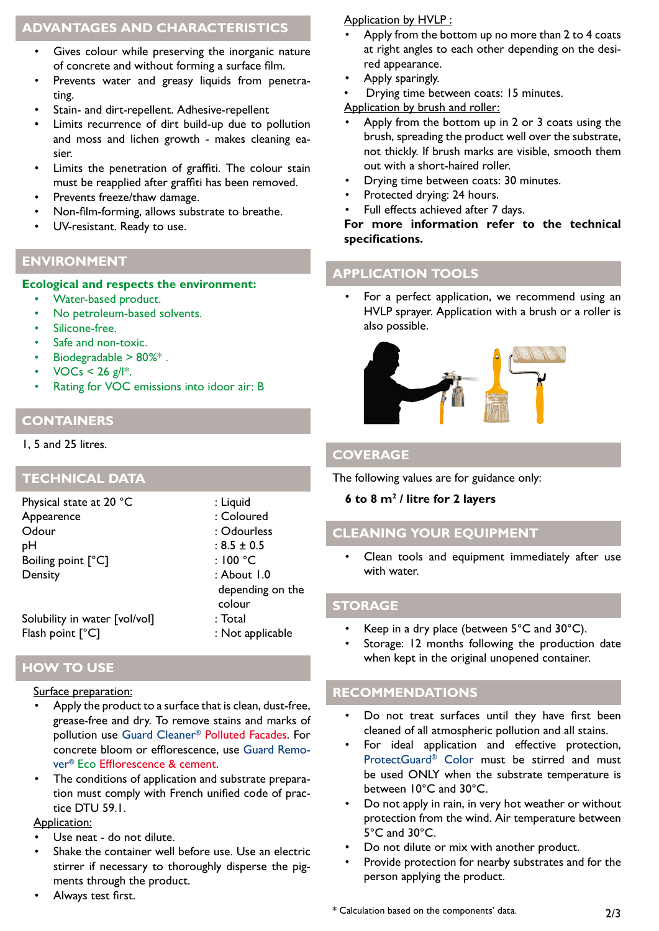## **ADVANTAGES AND CHARACTERISTICS**

- Gives colour while preserving the inorganic nature of concrete and without forming a surface film.
- Prevents water and greasy liquids from penetrating.
- Stain- and dirt-repellent. Adhesive-repellent
- Limits recurrence of dirt build-up due to pollution and moss and lichen growth - makes cleaning easier.
- Limits the penetration of graffiti. The colour stain must be reapplied after graffiti has been removed.
- Prevents freeze/thaw damage.
- Non-film-forming, allows substrate to breathe.
- UV-resistant. Ready to use.

## **ENVIRONMENT**

#### **Ecological and respects the environment:**

- Water-based product.
- No petroleum-based solvents.
- Silicone-free.
- Safe and non-toxic.
- Biodegradable > 80%\* .
- $VOCs < 26$  g/|\*.
- Rating for VOC emissions into idoor air: B

## **CONTAINERS**

### 1, 5 and 25 litres.

**TECHNICAL DATA**

Physical state at 20 °C : Liquid Appearence : Coloured Odour : Odourless  $pH$  :  $8.5 \pm 0.5$ Boiling point [°C] : 100 °C Density : About 1.0

Solubility in water [vol/vol] : Total Flash point [°C]  $\qquad \qquad$  : Not applicable

**HOW TO USE**

#### Surface preparation:

- Apply the product to a surface that is clean, dust-free, grease-free and dry. To remove stains and marks of pollution use Guard Cleaner® Polluted Facades. For concrete bloom or efflorescence, use Guard Remover® Eco Efflorescence & cement.
- The conditions of application and substrate preparation must comply with French unified code of practice DTU 59.1.

### Application:

- Use neat do not dilute.
- Shake the container well before use. Use an electric stirrer if necessary to thoroughly disperse the pigments through the product.
- Always test first.

### Application by HVLP :

- Apply from the bottom up no more than 2 to 4 coats at right angles to each other depending on the desired appearance.
- Apply sparingly.
- Drying time between coats: 15 minutes.

Application by brush and roller:

- Apply from the bottom up in 2 or 3 coats using the brush, spreading the product well over the substrate, not thickly. If brush marks are visible, smooth them out with a short-haired roller.
- Drying time between coats: 30 minutes.
- Protected drying: 24 hours.
- Full effects achieved after 7 days.

#### **For more information refer to the technical specifications.**

## **APPLICATION TOOLS**

For a perfect application, we recommend using an HVLP sprayer. Application with a brush or a roller is also possible.



## **COVERAGE**

The following values are for guidance only:

#### **6 to 8 m2 / litre for 2 layers**

# **CLEANING YOUR EQUIPMENT**

Clean tools and equipment immediately after use with water.

### **STORAGE**

depending on the

colour

- Keep in a dry place (between  $5^{\circ}$ C and  $30^{\circ}$ C).
- Storage: 12 months following the production date when kept in the original unopened container.

## **RECOMMENDATIONS**

- Do not treat surfaces until they have first been cleaned of all atmospheric pollution and all stains.
- For ideal application and effective protection, ProtectGuard® Color must be stirred and must be used ONLY when the substrate temperature is between 10°C and 30°C.
- Do not apply in rain, in very hot weather or without protection from the wind. Air temperature between 5°C and 30°C.
- Do not dilute or mix with another product.
- Provide protection for nearby substrates and for the person applying the product.